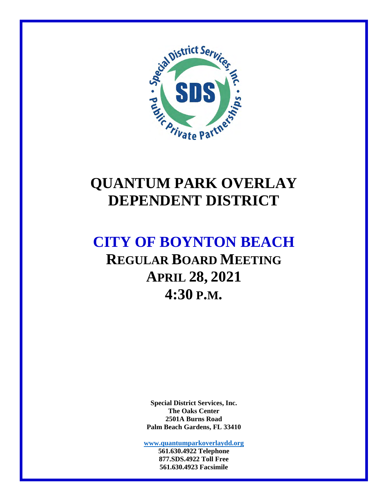

# **QUANTUM PARK OVERLAY DEPENDENT DISTRICT**

# **CITY OF BOYNTON BEACH REGULAR BOARD MEETING APRIL 28, 2021 4:30 P.M.**

**Special District Services, Inc. The Oaks Center 2501A Burns Road Palm Beach Gardens, FL 33410** 

**www.quantumparkoverlaydd.org 561.630.4922 Telephone** 

**877.SDS.4922 Toll Free 561.630.4923 Facsimile**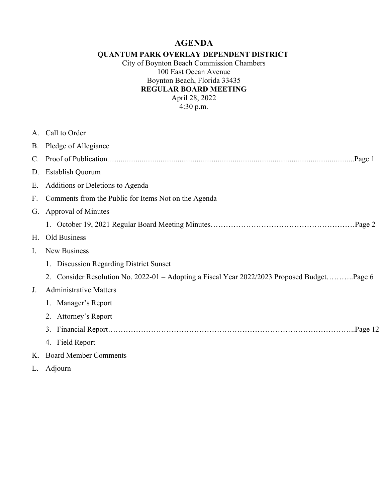## **AGENDA**

#### **QUANTUM PARK OVERLAY DEPENDENT DISTRICT**

City of Boynton Beach Commission Chambers 100 East Ocean Avenue Boynton Beach, Florida 33435 **REGULAR BOARD MEETING**  April 28, 2022  $4:30 \text{ p.m.}$ 

|             | A. Call to Order                                                                            |
|-------------|---------------------------------------------------------------------------------------------|
|             | B. Pledge of Allegiance                                                                     |
|             |                                                                                             |
| D.          | <b>Establish Quorum</b>                                                                     |
| Е.          | Additions or Deletions to Agenda                                                            |
| $F_{\rm{}}$ | Comments from the Public for Items Not on the Agenda                                        |
| G.          | <b>Approval of Minutes</b>                                                                  |
|             |                                                                                             |
| Н.          | Old Business                                                                                |
| Ι.          | <b>New Business</b>                                                                         |
|             | <b>Discussion Regarding District Sunset</b><br>1.                                           |
|             | 2. Consider Resolution No. 2022-01 - Adopting a Fiscal Year 2022/2023 Proposed BudgetPage 6 |
| J.          | <b>Administrative Matters</b>                                                               |
|             | 1. Manager's Report                                                                         |
|             | 2. Attorney's Report                                                                        |
|             | 3.                                                                                          |
|             | 4. Field Report                                                                             |
| Κ.          | <b>Board Member Comments</b>                                                                |
|             | L. Adjourn                                                                                  |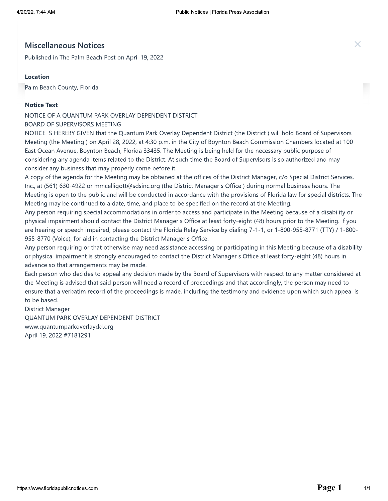# 4/20/22, 7:44 AM<br>
Miscellaneous Notices<br>
Published in The Palm Beach Post on April 19, 2022<br> **Location**<br>
Palm Beach County, Florida<br>
Notice Text<br>
NOTICE OF A QUANTUM PARK OVERLAY DEPENDENT DISTRICT<br>
BOARD OF SUPERVISORS ME

NOTICE IS HEREBY GIVEN that the Quantum Park Overlay Dependent District (the District) will hold Board of Supervisors Meeting (the Meeting) on April 28, 2022, at 4:30 p.m. in the City of Boynton Beach Commission Chambers located at 100 East Ocean Avenue, Boynton Beach, Florida 33435. The Meeting is being held for the necessary public purpose of considering any agenda items related to the District. At such time the Board of Supervisors is so authorized and may consider any business that may properly come before it.

A copy of the agenda for the Meeting may be obtained at the offices of the District Manager, c/o Special District Services, Inc., at (561) 630-4922 or mmcelligott@sdsinc.org (the District Manager s Office) during normal business hours. The Meeting is open to the public and will be conducted in accordance with the provisions of Florida law for special districts. The Meeting may be continued to a date, time, and place to be specified on the record at the Meeting.

Any person requiring special accommodations in order to access and participate in the Meeting because of a disability or physical impairment should contact the District Manager s Office at least forty-eight (48) hours prior to the Meeting. If you are hearing or speech impaired, please contact the Florida Relay Service by dialing 7-1-1, or 1-800-955-8771 (TTY) / 1-800-955-8770 (Voice), for aid in contacting the District Manager s Office.

Any person requiring or that otherwise may need assistance accessing or participating in this Meeting because of a disability or physical impairment is strongly encouraged to contact the District Manager s Office at least forty-eight (48) hours in advance so that arrangements may be made.

Each person who decides to appeal any decision made by the Board of Supervisors with respect to any matter considered at the Meeting is advised that said person will need a record of proceedings and that accordingly, the person may need to ensure that a verbatim record of the proceedings is made, including the testimony and evidence upon which such appeal is to be based.

District Manager

QUANTUM PARK OVERLAY DEPENDENT DISTRICT www.quantumparkoverlaydd.org April 19, 2022 #7181291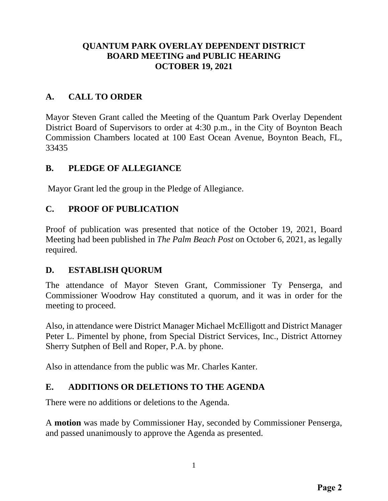#### **QUANTUM PARK OVERLAY DEPENDENT DISTRICT BOARD MEETING and PUBLIC HEARING OCTOBER 19, 2021**

## **A. CALL TO ORDER**

Mayor Steven Grant called the Meeting of the Quantum Park Overlay Dependent District Board of Supervisors to order at 4:30 p.m., in the City of Boynton Beach Commission Chambers located at 100 East Ocean Avenue, Boynton Beach, FL, 33435

#### **B. PLEDGE OF ALLEGIANCE**

Mayor Grant led the group in the Pledge of Allegiance.

#### **C. PROOF OF PUBLICATION**

Proof of publication was presented that notice of the October 19, 2021, Board Meeting had been published in *The Palm Beach Post* on October 6, 2021, as legally required.

#### **D. ESTABLISH QUORUM**

The attendance of Mayor Steven Grant, Commissioner Ty Penserga, and Commissioner Woodrow Hay constituted a quorum, and it was in order for the meeting to proceed.

Also, in attendance were District Manager Michael McElligott and District Manager Peter L. Pimentel by phone, from Special District Services, Inc., District Attorney Sherry Sutphen of Bell and Roper, P.A. by phone.

Also in attendance from the public was Mr. Charles Kanter.

#### **E. ADDITIONS OR DELETIONS TO THE AGENDA**

There were no additions or deletions to the Agenda.

A **motion** was made by Commissioner Hay, seconded by Commissioner Penserga, and passed unanimously to approve the Agenda as presented.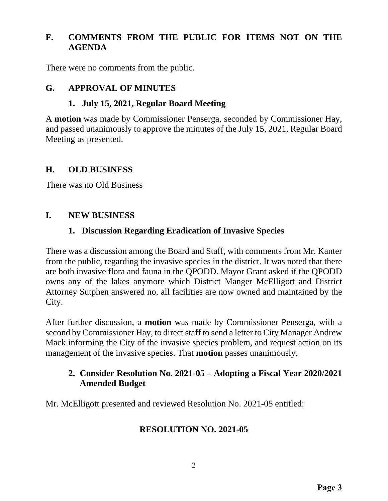#### **F. COMMENTS FROM THE PUBLIC FOR ITEMS NOT ON THE AGENDA**

There were no comments from the public.

#### **G. APPROVAL OF MINUTES**

#### **1. July 15, 2021, Regular Board Meeting**

A **motion** was made by Commissioner Penserga, seconded by Commissioner Hay, and passed unanimously to approve the minutes of the July 15, 2021, Regular Board Meeting as presented.

#### **H. OLD BUSINESS**

There was no Old Business

#### **I. NEW BUSINESS**

#### **1. Discussion Regarding Eradication of Invasive Species**

There was a discussion among the Board and Staff, with comments from Mr. Kanter from the public, regarding the invasive species in the district. It was noted that there are both invasive flora and fauna in the QPODD. Mayor Grant asked if the QPODD owns any of the lakes anymore which District Manger McElligott and District Attorney Sutphen answered no, all facilities are now owned and maintained by the City.

After further discussion, a **motion** was made by Commissioner Penserga, with a second by Commissioner Hay, to direct staff to send a letter to City Manager Andrew Mack informing the City of the invasive species problem, and request action on its management of the invasive species. That **motion** passes unanimously.

#### **2. Consider Resolution No. 2021-05 – Adopting a Fiscal Year 2020/2021 Amended Budget**

Mr. McElligott presented and reviewed Resolution No. 2021-05 entitled:

#### **RESOLUTION NO. 2021-05**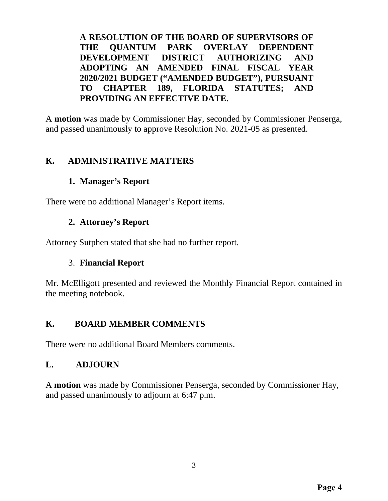**A RESOLUTION OF THE BOARD OF SUPERVISORS OF THE QUANTUM PARK OVERLAY DEPENDENT DEVELOPMENT DISTRICT AUTHORIZING AND ADOPTING AN AMENDED FINAL FISCAL YEAR 2020/2021 BUDGET ("AMENDED BUDGET"), PURSUANT TO CHAPTER 189, FLORIDA STATUTES; AND PROVIDING AN EFFECTIVE DATE.** 

A **motion** was made by Commissioner Hay, seconded by Commissioner Penserga, and passed unanimously to approve Resolution No. 2021-05 as presented.

## **K. ADMINISTRATIVE MATTERS**

## **1. Manager's Report**

There were no additional Manager's Report items.

## **2. Attorney's Report**

Attorney Sutphen stated that she had no further report.

#### 3. **Financial Report**

Mr. McElligott presented and reviewed the Monthly Financial Report contained in the meeting notebook.

#### **K. BOARD MEMBER COMMENTS**

There were no additional Board Members comments.

#### **L. ADJOURN**

A **motion** was made by Commissioner Penserga, seconded by Commissioner Hay, and passed unanimously to adjourn at 6:47 p.m.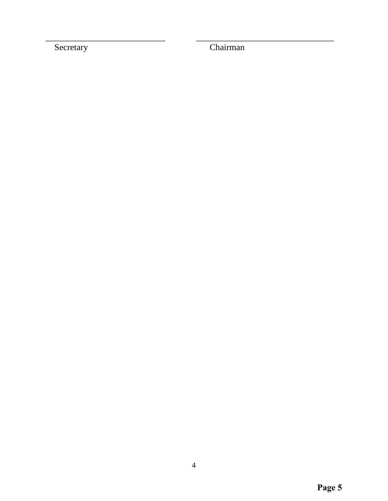Secretary

Chairman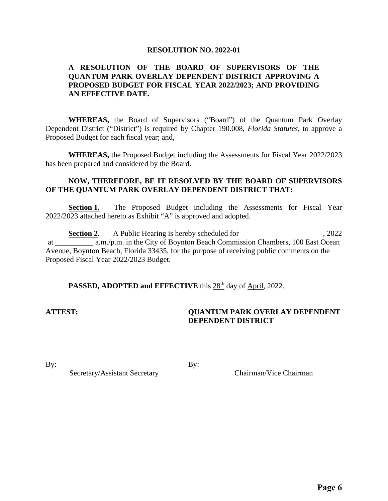#### **RESOLUTION NO. 2022-01**

#### **A RESOLUTION OF THE BOARD OF SUPERVISORS OF THE QUANTUM PARK OVERLAY DEPENDENT DISTRICT APPROVING A PROPOSED BUDGET FOR FISCAL YEAR 2022/2023; AND PROVIDING AN EFFECTIVE DATE.**

 **WHEREAS,** the Board of Supervisors ("Board") of the Quantum Park Overlay Dependent District ("District") is required by Chapter 190.008, *Florida Statutes,* to approve a Proposed Budget for each fiscal year; and,

 **WHEREAS,** the Proposed Budget including the Assessments for Fiscal Year 2022/2023 has been prepared and considered by the Board.

#### **NOW, THEREFORE, BE IT RESOLVED BY THE BOARD OF SUPERVISORS OF THE QUANTUM PARK OVERLAY DEPENDENT DISTRICT THAT:**

**Section 1.** The Proposed Budget including the Assessments for Fiscal Year 2022/2023 attached hereto as Exhibit "A" is approved and adopted.

Section 2. A Public Hearing is hereby scheduled for 3022, 2022 at a.m./p.m. in the City of Boynton Beach Commission Chambers, 100 East Ocean Avenue, Boynton Beach, Florida 33435, for the purpose of receiving public comments on the Proposed Fiscal Year 2022/2023 Budget.

#### **PASSED, ADOPTED and EFFECTIVE** this 28<sup>th</sup> day of April, 2022.

#### **ATTEST: QUANTUM PARK OVERLAY DEPENDENT DEPENDENT DISTRICT**

 $\mathbf{By:}$   $\qquad \qquad \mathbf{By:}$ 

Secretary/Assistant Secretary Chairman/Vice Chairman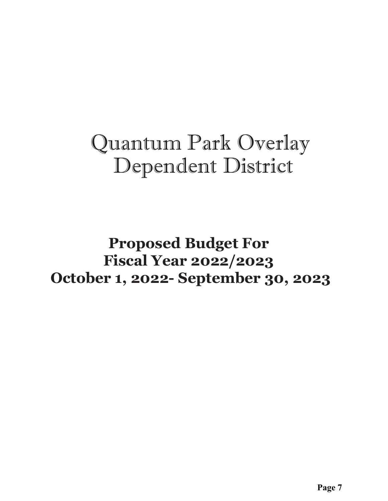# Quantum Park Overlay Dependent District

# **Proposed Budget For Fiscal Year 2022/2023 October 1, 2022- September 30, 2023**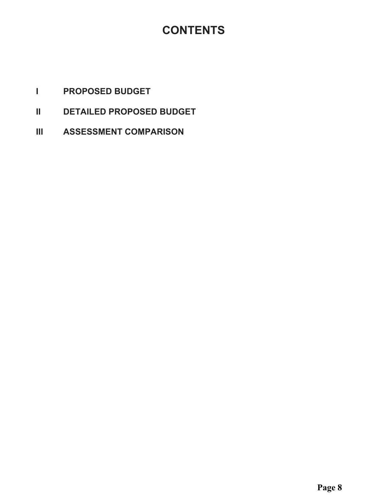## **CONTENTS**

- PROPOSED BUDGET  $\mathbf{L}$
- $\mathbf{II}$ DETAILED PROPOSED BUDGET
- $\mathbf{III}$ **ASSESSMENT COMPARISON**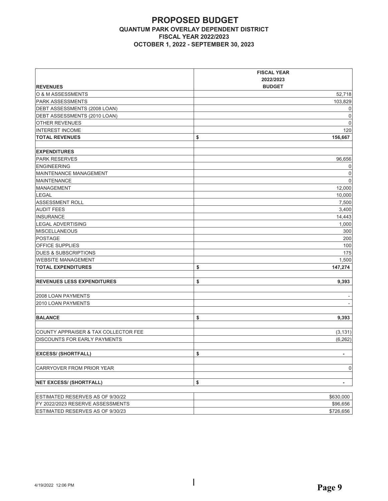#### **PROPOSED BUDGET QUANTUM PARK OVERLAY DEPENDENT DISTRICT FISCAL YEAR 2022/2023 2028 CCTOBER 1, 2022 - SEPTEMBER 30, 2023**

|                                      | <b>FISCAL YEAR</b>             |
|--------------------------------------|--------------------------------|
|                                      | 2022/2023                      |
| <b>REVENUES</b>                      | <b>BUDGET</b>                  |
| O & M ASSESSMENTS                    | 52,718                         |
| <b>PARK ASSESSMENTS</b>              | 103,829                        |
| DEBT ASSESSMENTS (2008 LOAN)         |                                |
| DEBT ASSESSMENTS (2010 LOAN)         |                                |
| OTHER REVENUES                       |                                |
| <b>INTEREST INCOME</b>               | 120                            |
| <b>TOTAL REVENUES</b>                | \$<br>156,667                  |
|                                      |                                |
| <b>EXPENDITURES</b>                  |                                |
| <b>PARK RESERVES</b>                 | 96,656                         |
| <b>ENGINEERING</b>                   |                                |
| MAINTENANCE MANAGEMENT               |                                |
| <b>MAINTENANCE</b>                   |                                |
| <b>MANAGEMENT</b>                    | 12,000                         |
| <b>LEGAL</b>                         | 10,000                         |
| <b>ASSESSMENT ROLL</b>               | 7,500                          |
| <b>AUDIT FEES</b>                    | 3,400                          |
| INSURANCE                            | 14,443                         |
| <b>LEGAL ADVERTISING</b>             | 1.000                          |
| <b>MISCELLANEOUS</b>                 | 300                            |
| <b>POSTAGE</b>                       | 200                            |
| <b>OFFICE SUPPLIES</b>               | 100                            |
| <b>DUES &amp; SUBSCRIPTIONS</b>      | 175                            |
| <b>WEBSITE MANAGEMENT</b>            | 1,500                          |
| <b>TOTAL EXPENDITURES</b>            | \$<br>147,274                  |
|                                      |                                |
| <b>REVENUES LESS EXPENDITURES</b>    | \$<br>9,393                    |
|                                      |                                |
| 2008 LOAN PAYMENTS                   |                                |
| 2010 LOAN PAYMENTS                   |                                |
|                                      |                                |
| <b>BALANCE</b>                       | \$<br>9,393                    |
|                                      |                                |
| COUNTY APPRAISER & TAX COLLECTOR FEE | (3, 131)                       |
| <b>DISCOUNTS FOR EARLY PAYMENTS</b>  | (6, 262)                       |
|                                      |                                |
| <b>EXCESS/ (SHORTFALL)</b>           | \$<br>$\overline{\phantom{a}}$ |
|                                      |                                |
| CARRYOVER FROM PRIOR YEAR            |                                |
|                                      |                                |
| <b>NET EXCESS/ (SHORTFALL)</b>       | \$<br>-                        |
|                                      |                                |
| ESTIMATED RESERVES AS OF 9/30/22     | \$630,000                      |
| FY 2022/2023 RESERVE ASSESSMENTS     | \$96,656                       |
| ESTIMATED RESERVES AS OF 9/30/23     | \$726,656                      |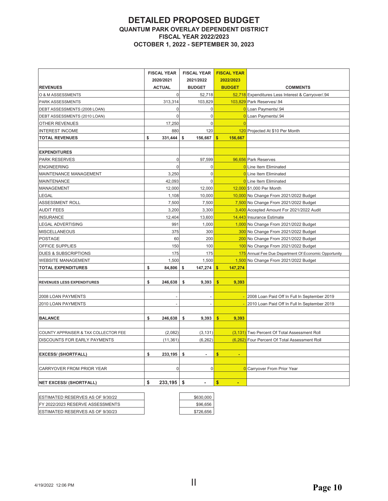#### **DETAILED PROPOSED BUDGET QUANTUM PARK OVERLAY DEPENDENT DISTRICT FISCAL YEAR 2022/2023 OCTOBER 1, 2022 - SEPTEMBER 30, 2023**

|                                      | <b>FISCAL YEAR</b> |                | <b>FISCAL YEAR</b>   | <b>FISCAL YEAR</b>      |                                                       |
|--------------------------------------|--------------------|----------------|----------------------|-------------------------|-------------------------------------------------------|
|                                      |                    | 2020/2021      | 2021/2022            | 2022/2023               |                                                       |
| <b>REVENUES</b>                      |                    | <b>ACTUAL</b>  | <b>BUDGET</b>        | <b>BUDGET</b>           | <b>COMMENTS</b>                                       |
| O & M ASSESSMENTS                    |                    | 0              | 52,718               |                         | 52,718 Expenditures Less Interest & Carryover/.94     |
| PARK ASSESSMENTS                     |                    | 313,314        | 103,829              |                         | 103,829 Park Reserves/.94                             |
| DEBT ASSESSMENTS (2008 LOAN)         |                    | 0              | $\overline{0}$       |                         | 0 Loan Payments/.94                                   |
| DEBT ASSESSMENTS (2010 LOAN)         |                    | $\overline{0}$ | $\mathbf 0$          |                         | 0 Loan Payments/.94                                   |
| OTHER REVENUES                       |                    | 17,250         | $\overline{0}$       |                         |                                                       |
| <b>INTEREST INCOME</b>               |                    | 880            | 120                  |                         | 120 Projected At \$10 Per Month                       |
| <b>TOTAL REVENUES</b>                | \$                 | 331,444        | \$<br>156,667        | $\mathbf{s}$<br>156,667 |                                                       |
|                                      |                    |                |                      |                         |                                                       |
| <b>EXPENDITURES</b>                  |                    |                |                      |                         |                                                       |
| <b>PARK RESERVES</b>                 |                    | $\mathbf 0$    | 97,599               |                         | 96,656 Park Reserves                                  |
| <b>ENGINEERING</b>                   |                    | $\mathbf 0$    | $\overline{0}$       |                         | <b>0</b> Line Item Eliminated                         |
| MAINTENANCE MANAGEMENT               |                    | 3,250          | $\mathbf 0$          |                         | O Line Item Eliminated                                |
| <b>MAINTENANCE</b>                   |                    | 42,093         | $\mathbf 0$          |                         | <b>0</b> Line Item Eliminated                         |
| MANAGEMENT                           |                    | 12,000         | 12,000               |                         | 12,000 \$1,000 Per Month                              |
| LEGAL                                |                    | 1,108          | 10,000               |                         | 10,000 No Change From 2021/2022 Budget                |
| ASSESSMENT ROLL                      |                    | 7,500          | 7,500                |                         | 7,500 No Change From 2021/2022 Budget                 |
| <b>AUDIT FEES</b>                    |                    | 3,200          | 3,300                |                         | 3,400 Accepted Amount For 2021/2022 Audit             |
| <b>INSURANCE</b>                     |                    | 12,404         | 13,600               |                         | 14,443 Insurance Estimate                             |
| <b>LEGAL ADVERTISING</b>             |                    | 991            | 1,000                |                         | 1,000 No Change From 2021/2022 Budget                 |
| MISCELLANEOUS                        |                    | 375            | 300                  |                         | 300 No Change From 2021/2022 Budget                   |
| <b>POSTAGE</b>                       |                    | 60             | 200                  |                         | 200 No Change From 2021/2022 Budget                   |
| OFFICE SUPPLIES                      |                    | 150            | 100                  |                         | 100 No Change From 2021/2022 Budget                   |
| <b>DUES &amp; SUBSCRIPTIONS</b>      |                    | 175            | 175                  |                         | 175 Annual Fee Due Department Of Economic Opportunity |
| <b>WEBSITE MANAGEMENT</b>            |                    | 1,500          | 1,500                |                         | 1,500 No Change From 2021/2022 Budget                 |
| <b>TOTAL EXPENDITURES</b>            | \$                 | 84,806         | \$<br>147,274        | 147,274<br>s.           |                                                       |
|                                      |                    |                |                      |                         |                                                       |
| REVENUES LESS EXPENDITURES           | \$                 | 246,638        | \$<br>9,393          | \$<br>9,393             |                                                       |
|                                      |                    |                |                      |                         |                                                       |
| 2008 LOAN PAYMENTS                   |                    |                |                      |                         | 2008 Loan Paid Off In Full In September 2019          |
| 2010 LOAN PAYMENTS                   |                    |                |                      |                         | 2010 Loan Paid Off In Full In September 2019          |
|                                      |                    |                |                      |                         |                                                       |
| <b>BALANCE</b>                       | \$                 | 246,638        | \$<br>9,393          | \$<br>9,393             |                                                       |
|                                      |                    |                |                      |                         |                                                       |
| COUNTY APPRAISER & TAX COLLECTOR FEE |                    | (2,082)        | (3, 131)             |                         | (3,131) Two Percent Of Total Assessment Roll          |
| <b>DISCOUNTS FOR EARLY PAYMENTS</b>  |                    | (11, 361)      | (6, 262)             |                         | (6,262) Four Percent Of Total Assessment Roll         |
|                                      |                    |                |                      |                         |                                                       |
| <b>EXCESS/ (SHORTFALL)</b>           | \$                 | 233,195        | \$<br>ä,             | \$<br>÷.                |                                                       |
|                                      |                    | $\mathbf 0$    | $\mathbf 0$          |                         |                                                       |
| CARRYOVER FROM PRIOR YEAR            |                    |                |                      |                         | <b>0</b> Carryover From Prior Year                    |
| <b>NET EXCESS/ (SHORTFALL)</b>       | \$                 | 233,195        | \$<br>$\blacksquare$ | \$<br>$\blacksquare$    |                                                       |
|                                      |                    |                |                      |                         |                                                       |

| <b>IESTIMATED RESERVES AS OF 9/30/22</b> | \$630,000 |
|------------------------------------------|-----------|
| IFY 2022/2023 RESERVE ASSESSMENTS        | \$96,656  |
| <b>IESTIMATED RESERVES AS OF 9/30/23</b> | \$726.656 |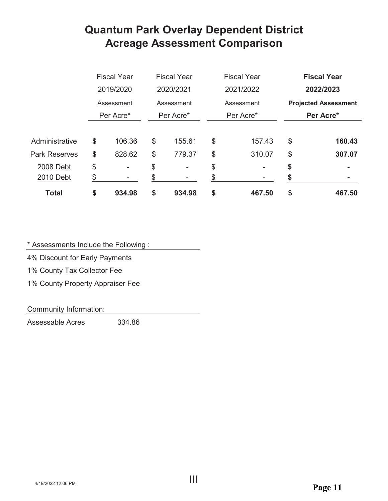## **Quantum Park Overlay Dependent District Acreage Assessment Comparison**

|                      | <b>Fiscal Year</b><br>2019/2020<br>Assessment |                          | <b>Fiscal Year</b><br>2020/2021<br>Assessment |                | <b>Fiscal Year</b><br>2021/2022<br>Assessment |           | <b>Fiscal Year</b><br>2022/2023<br><b>Projected Assessment</b> |           |  |
|----------------------|-----------------------------------------------|--------------------------|-----------------------------------------------|----------------|-----------------------------------------------|-----------|----------------------------------------------------------------|-----------|--|
|                      |                                               |                          |                                               |                |                                               |           |                                                                |           |  |
|                      |                                               |                          |                                               |                |                                               |           |                                                                |           |  |
|                      |                                               | Per Acre*                |                                               | Per Acre*      |                                               | Per Acre* |                                                                | Per Acre* |  |
|                      |                                               |                          |                                               |                |                                               |           |                                                                |           |  |
| Administrative       | \$                                            | 106.36                   | \$                                            | 155.61         | \$                                            | 157.43    | \$                                                             | 160.43    |  |
| <b>Park Reserves</b> | \$                                            | 828.62                   | \$                                            | 779.37         | \$                                            | 310.07    | \$                                                             | 307.07    |  |
| 2008 Debt            | \$                                            | $\overline{\phantom{a}}$ | \$                                            | $\overline{a}$ | \$                                            |           | \$                                                             |           |  |
| 2010 Debt            | \$                                            | -                        | \$                                            |                |                                               |           |                                                                |           |  |
| <b>Total</b>         | \$                                            | 934.98                   | \$                                            | 934.98         | \$                                            | 467.50    | \$                                                             | 467.50    |  |

\* Assessments Include the Following:

4% Discount for Early Payments

1% County Tax Collector Fee

1% County Property Appraiser Fee

Community Information:

Assessable Acres 334.86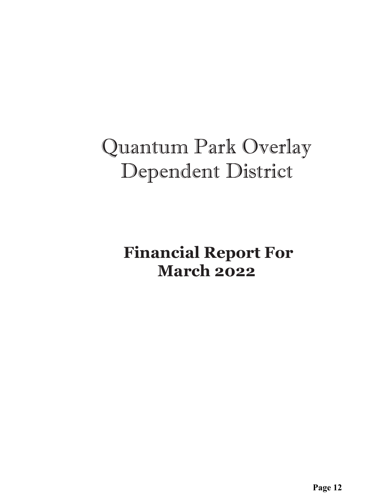# Quantum Park Overlay Dependent District

 **Financial Report For March 2022**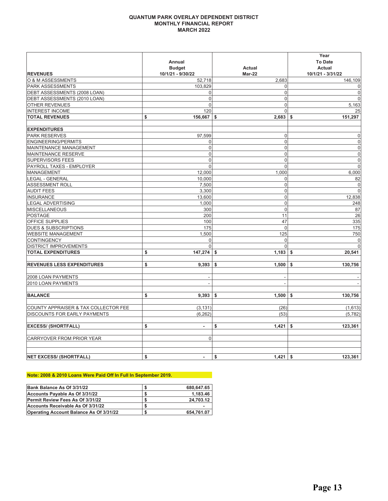#### **QUANTUM PARK OVERLAY DEPENDENT DISTRICT** MONTHLY FINANCIAL REPORT **MARCH 2022**

|                                      | Annual<br><b>Budget</b> | <b>Actual</b>    | Year<br><b>To Date</b><br><b>Actual</b> |
|--------------------------------------|-------------------------|------------------|-----------------------------------------|
| <b>REVENUES</b>                      | 10/1/21 - 9/30/22       | Mar-22           | 10/1/21 - 3/31/22                       |
| <b>O &amp; M ASSESSMENTS</b>         | 52,718                  | 2,683            | 146,109                                 |
| <b>PARK ASSESSMENTS</b>              | 103,829                 | $\mathbf{0}$     | $\mathbf 0$                             |
| DEBT ASSESSMENTS (2008 LOAN)         | 0                       | $\Omega$         | $\mathbf 0$                             |
| DEBT ASSESSMENTS (2010 LOAN)         | $\mathbf 0$             | $\overline{0}$   | $\mathbf 0$                             |
| <b>OTHER REVENUES</b>                | 0                       | $\overline{0}$   | 5,163                                   |
| <b>INTEREST INCOME</b>               | 120                     | $\Omega$         | 25                                      |
| <b>TOTAL REVENUES</b>                | \$<br>156,667           | 2,683<br>\$      | 151,297<br>-S                           |
|                                      |                         |                  |                                         |
| <b>EXPENDITURES</b>                  |                         |                  |                                         |
| <b>PARK RESERVES</b>                 | 97,599                  | $\Omega$         | $\mathbf 0$                             |
| <b>ENGINEERING/PERMITS</b>           | 0                       | $\mathbf 0$      | $\mathbf 0$                             |
| MAINTENANCE MANAGEMENT               | 0                       | $\overline{0}$   | $\boldsymbol{0}$                        |
| <b>MAINTENANCE RESERVE</b>           | 0                       | $\mathbf 0$      | $\mathbf 0$                             |
| <b>SUPERVISORS FEES</b>              | $\mathbf 0$             | $\overline{0}$   | $\mathbf 0$                             |
| PAYROLL TAXES - EMPLOYER             | $\mathbf{0}$            | $\overline{0}$   | $\overline{0}$                          |
| <b>MANAGEMENT</b>                    | 12,000                  | 1,000            | 6,000                                   |
| <b>LEGAL - GENERAL</b>               | 10,000                  | $\Omega$         | 82                                      |
| <b>ASSESSMENT ROLL</b>               | 7,500                   | $\mathbf 0$      | $\mathbf 0$                             |
| <b>AUDIT FEES</b>                    | 3,300                   | $\overline{0}$   | $\mathbf 0$                             |
| <b>INSURANCE</b>                     | 13,600                  | $\mathbf 0$      | 12,838                                  |
| <b>LEGAL ADVERTISING</b>             | 1,000                   | $\mathbf 0$      | 248                                     |
| MISCELLANEOUS                        | 300                     | $\overline{0}$   | 87                                      |
| <b>POSTAGE</b>                       | 200                     | 11               | 26                                      |
| <b>OFFICE SUPPLIES</b>               | 100                     | 47               | 335                                     |
| <b>DUES &amp; SUBSCRIPTIONS</b>      | 175                     | $\mathbf 0$      | 175                                     |
| <b>WEBSITE MANAGEMENT</b>            | 1,500                   | 125              | 750                                     |
| <b>CONTINGENCY</b>                   | $\mathbf 0$             | $\overline{0}$   | 0                                       |
| <b>DISTRICT IMPROVEMENTS</b>         | $\Omega$                | $\Omega$         | $\mathbf 0$                             |
| <b>TOTAL EXPENDITURES</b>            | \$<br>147,274           | 1,183<br>\$      | 20,541<br>\$                            |
| <b>REVENUES LESS EXPENDITURES</b>    | \$<br>9,393             | 1,500<br>\$      | 130,756<br>\$                           |
|                                      |                         |                  |                                         |
| 2008 LOAN PAYMENTS                   |                         |                  |                                         |
| 2010 LOAN PAYMENTS                   |                         |                  |                                         |
| <b>BALANCE</b>                       | \$<br>9,393             | \$<br>1,500      | \$<br>130,756                           |
| COUNTY APPRAISER & TAX COLLECTOR FEE | (3, 131)                | (26)             | (1,613)                                 |
| <b>DISCOUNTS FOR EARLY PAYMENTS</b>  | (6, 262)                | (53)             | (5,782)                                 |
| <b>EXCESS/ (SHORTFALL)</b>           | \$<br>$\blacksquare$    | \$<br>1,421      | \$<br>123,361                           |
| CARRYOVER FROM PRIOR YEAR            | $\mathbf 0$             |                  |                                         |
| <b>NET EXCESS/ (SHORTFALL)</b>       | \$<br>$\blacksquare$    | \$<br>$1,421$ \$ | 123,361                                 |

#### Note: 2008 & 2010 Loans Were Paid Off In Full In September 2019.

| Bank Balance As Of 3/31/22                     | 680,647.65 |
|------------------------------------------------|------------|
| Accounts Payable As Of 3/31/22                 | 1,183.46   |
| Permit Review Fees As Of 3/31/22               | 24,703.12  |
| Accounts Receivable As Of 3/31/22              | -          |
| <b>Operating Account Balance As Of 3/31/22</b> | 654.761.07 |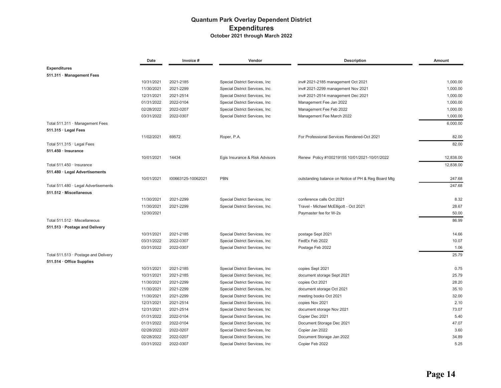#### **Quantum Park Overlay Dependent District Expenditures** October 2021 through March 2022

|                                      | Date       | Invoice #              | Vendor                          | <b>Description</b>                                  | Amount        |
|--------------------------------------|------------|------------------------|---------------------------------|-----------------------------------------------------|---------------|
| <b>Expenditures</b>                  |            |                        |                                 |                                                     |               |
| 511.311 · Management Fees            |            |                        |                                 |                                                     |               |
|                                      | 10/31/2021 | 2021-2185              | Special District Services, Inc. | inv# 2021-2185 management Oct 2021                  | 1,000.00      |
|                                      | 11/30/2021 | 2021-2299              | Special District Services, Inc  | inv# 2021-2299 management Nov 2021                  | 1,000.00      |
|                                      | 12/31/2021 | 2021-2514              | Special District Services, Inc. | inv# 2021-2514 management Dec 2021                  | 1,000.00      |
|                                      | 01/31/2022 | 2022-0104              | Special District Services, Inc. | Management Fee Jan 2022                             | 1,000.00      |
|                                      | 02/28/2022 | 2022-0207              | Special District Services, Inc. | Management Fee Feb 2022                             | 1,000.00      |
|                                      | 03/31/2022 | 2022-0307              | Special District Services, Inc. | Management Fee March 2022                           | 1,000.00      |
| Total 511.311 Management Fees        |            |                        |                                 |                                                     | 6,000.00      |
| $511.315 \cdot$ Legal Fees           |            |                        |                                 |                                                     |               |
|                                      | 11/02/2021 | 69572                  | Roper, P.A.                     | For Professional Services Rendered-Oct 2021         | 82.00         |
| Total 511.315 · Legal Fees           |            |                        |                                 |                                                     | 82.00         |
| 511.450 · Insurance                  |            |                        |                                 |                                                     |               |
|                                      | 10/01/2021 | 14434                  | Egis Insurance & Risk Advisors  | Renew Policy #100219155 10/01/2021-10/01/2022       | 12,838.00     |
| Total 511.450 · Insurance            |            |                        |                                 |                                                     | 12,838.00     |
| 511.480 · Legal Advertisements       |            |                        |                                 |                                                     |               |
|                                      | 10/01/2021 | 100663125-10062021     | <b>PBN</b>                      | outstanding balance on Notice of PH & Reg Board Mtg | 247.68        |
| Total 511.480 · Legal Advertisements |            |                        |                                 |                                                     | 247.68        |
| 511.512 · Miscellaneous              |            |                        |                                 |                                                     |               |
|                                      | 11/30/2021 | 2021-2299              | Special District Services, Inc. | conference calls Oct 2021                           | 8.32          |
|                                      | 11/30/2021 | 2021-2299              | Special District Services, Inc. | Travel - Michael McElligott - Oct 2021              | 28.67         |
|                                      | 12/30/2021 |                        |                                 | Paymaster fee for W-2s                              | 50.00         |
|                                      |            |                        |                                 |                                                     |               |
| Total 511.512 · Miscellaneous        |            |                        |                                 |                                                     | 86.99         |
| 511.513 · Postage and Delivery       |            |                        |                                 |                                                     |               |
|                                      | 10/31/2021 | 2021-2185              | Special District Services, Inc. | postage Sept 2021                                   | 14.66         |
|                                      | 03/31/2022 | 2022-0307<br>2022-0307 | Special District Services, Inc  | FedEx Feb 2022                                      | 10.07<br>1.06 |
|                                      | 03/31/2022 |                        | Special District Services, Inc. | Postage Feb 2022                                    |               |
| Total 511.513 · Postage and Delivery |            |                        |                                 |                                                     | 25.79         |
| 511.514 · Office Supplies            |            |                        |                                 |                                                     |               |
|                                      | 10/31/2021 | 2021-2185              | Special District Services, Inc. | copies Sept 2021                                    | 0.75          |
|                                      | 10/31/2021 | 2021-2185              | Special District Services, Inc  | document storage Sept 2021                          | 25.79         |
|                                      | 11/30/2021 | 2021-2299              | Special District Services, Inc. | copies Oct 2021                                     | 28.20         |
|                                      | 11/30/2021 | 2021-2299              | Special District Services, Inc  | document storage Oct 2021                           | 35.10         |
|                                      | 11/30/2021 | 2021-2299              | Special District Services, Inc. | meeting books Oct 2021                              | 32.00         |
|                                      | 12/31/2021 | 2021-2514              | Special District Services, Inc  | copies Nov 2021                                     | 2.10          |
|                                      | 12/31/2021 | 2021-2514              | Special District Services, Inc  | document storage Nov 2021                           | 73.07         |
|                                      | 01/31/2022 | 2022-0104              | Special District Services, Inc  | Copier Dec 2021                                     | 5.40          |
|                                      | 01/31/2022 | 2022-0104              | Special District Services, Inc  | Document Storage Dec 2021                           | 47.07         |
|                                      | 02/28/2022 | 2022-0207              | Special District Services, Inc  | Copier Jan 2022                                     | 3.60          |
|                                      | 02/28/2022 | 2022-0207              | Special District Services, Inc  | Document Storage Jan 2022                           | 34.89         |
|                                      | 03/31/2022 | 2022-0307              | Special District Services, Inc  | Copier Feb 2022                                     | 5.25          |